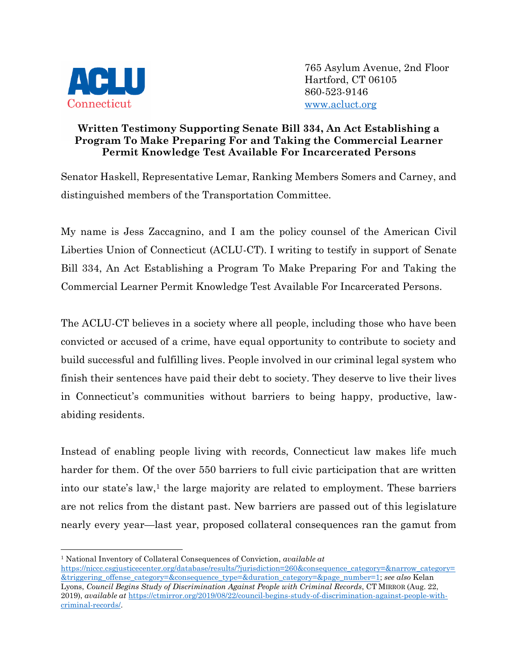

765 Asylum Avenue, 2nd Floor Hartford, CT 06105 860-523-9146 [www.acluct.org](http://www.acluct.org/)

## **Written Testimony Supporting Senate Bill 334, An Act Establishing a Program To Make Preparing For and Taking the Commercial Learner Permit Knowledge Test Available For Incarcerated Persons**

Senator Haskell, Representative Lemar, Ranking Members Somers and Carney, and distinguished members of the Transportation Committee.

My name is Jess Zaccagnino, and I am the policy counsel of the American Civil Liberties Union of Connecticut (ACLU-CT). I writing to testify in support of Senate Bill 334, An Act Establishing a Program To Make Preparing For and Taking the Commercial Learner Permit Knowledge Test Available For Incarcerated Persons.

The ACLU-CT believes in a society where all people, including those who have been convicted or accused of a crime, have equal opportunity to contribute to society and build successful and fulfilling lives. People involved in our criminal legal system who finish their sentences have paid their debt to society. They deserve to live their lives in Connecticut's communities without barriers to being happy, productive, lawabiding residents.

Instead of enabling people living with records, Connecticut law makes life much harder for them. Of the over 550 barriers to full civic participation that are written into our state's law, $<sup>1</sup>$  the large majority are related to employment. These barriers</sup> are not relics from the distant past. New barriers are passed out of this legislature nearly every year—last year, proposed collateral consequences ran the gamut from

<sup>1</sup> National Inventory of Collateral Consequences of Conviction, *available at*

[https://niccc.csgjusticecenter.org/database/results/?jurisdiction=260&consequence\\_category=&narrow\\_category=](https://niccc.csgjusticecenter.org/database/results/?jurisdiction=260&consequence_category=&narrow_category=&triggering_offense_category=&consequence_type=&duration_category=&page_number=1) [&triggering\\_offense\\_category=&consequence\\_type=&duration\\_category=&page\\_number=1;](https://niccc.csgjusticecenter.org/database/results/?jurisdiction=260&consequence_category=&narrow_category=&triggering_offense_category=&consequence_type=&duration_category=&page_number=1) *see also* Kelan Lyons, *Council Begins Study of Discrimination Against People with Criminal Records*, CT MIRROR (Aug. 22, 2019), *available at* [https://ctmirror.org/2019/08/22/council-begins-study-of-discrimination-against-people-with](https://ctmirror.org/2019/08/22/council-begins-study-of-discrimination-against-people-with-criminal-records/)[criminal-records/.](https://ctmirror.org/2019/08/22/council-begins-study-of-discrimination-against-people-with-criminal-records/)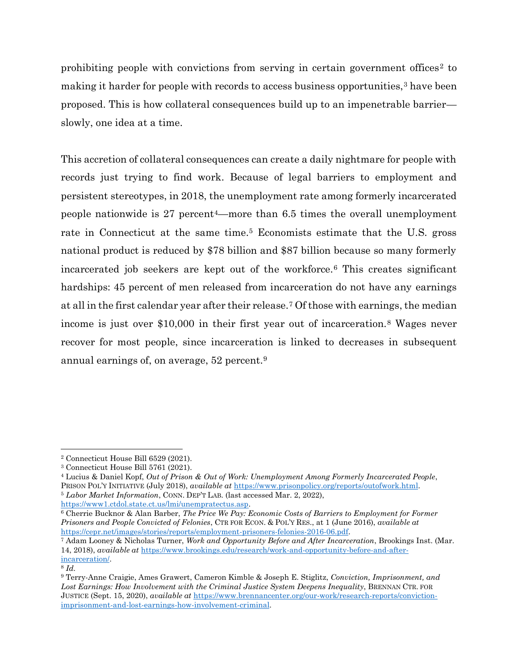prohibiting people with convictions from serving in certain government offices<sup>2</sup> to making it harder for people with records to access business opportunities,<sup>3</sup> have been proposed. This is how collateral consequences build up to an impenetrable barrier slowly, one idea at a time.

This accretion of collateral consequences can create a daily nightmare for people with records just trying to find work. Because of legal barriers to employment and persistent stereotypes, in 2018, the unemployment rate among formerly incarcerated people nationwide is 27 percent4—more than 6.5 times the overall unemployment rate in Connecticut at the same time.<sup>5</sup> Economists estimate that the U.S. gross national product is reduced by \$78 billion and \$87 billion because so many formerly incarcerated job seekers are kept out of the workforce.<sup>6</sup> This creates significant hardships: 45 percent of men released from incarceration do not have any earnings at all in the first calendar year after their release.<sup>7</sup> Of those with earnings, the median income is just over \$10,000 in their first year out of incarceration.<sup>8</sup> Wages never recover for most people, since incarceration is linked to decreases in subsequent annual earnings of, on average, 52 percent.<sup>9</sup>

[https://www1.ctdol.state.ct.us/lmi/unempratectus.asp.](https://www1.ctdol.state.ct.us/lmi/unempratectus.asp)

<sup>6</sup> Cherrie Bucknor & Alan Barber, *The Price We Pay: Economic Costs of Barriers to Employment for Former Prisoners and People Convicted of Felonies*, CTR FOR ECON. & POL'Y RES., at 1 (June 2016), *available at* [https://cepr.net/images/stories/reports/employment-prisoners-felonies-2016-06.pdf.](https://cepr.net/images/stories/reports/employment-prisoners-felonies-2016-06.pdf)

<sup>2</sup> Connecticut House Bill 6529 (2021).

<sup>3</sup> Connecticut House Bill 5761 (2021).

<sup>4</sup> Lucius & Daniel Kopf, *Out of Prison & Out of Work: Unemployment Among Formerly Incarcerated People*, PRISON POL'Y INITIATIVE (July 2018), *available at* [https://www.prisonpolicy.org/reports/outofwork.html.](https://www.prisonpolicy.org/reports/outofwork.html)  <sup>5</sup> *Labor Market Information*, CONN. DEP'T LAB. (last accessed Mar. 2, 2022),

<sup>7</sup> Adam Looney & Nicholas Turner, *Work and Opportunity Before and After Incarceration*, Brookings Inst. (Mar. 14, 2018), *available at* [https://www.brookings.edu/research/work-and-opportunity-before-and-after](https://www.brookings.edu/research/work-and-opportunity-before-and-after-incarceration/)[incarceration/.](https://www.brookings.edu/research/work-and-opportunity-before-and-after-incarceration/)

<sup>8</sup> *Id.*

<sup>9</sup> Terry-Anne Craigie, Ames Grawert, Cameron Kimble & Joseph E. Stiglitz, *Conviction, Imprisonment, and*  Lost Earnings: How Involvement with the Criminal Justice System Deepens Inequality, BRENNAN CTR. FOR JUSTICE (Sept. 15, 2020), *available at* [https://www.brennancenter.org/our-work/research-reports/conviction](https://www.brennancenter.org/our-work/research-reports/conviction-imprisonment-and-lost-earnings-how-involvement-criminal)[imprisonment-and-lost-earnings-how-involvement-criminal.](https://www.brennancenter.org/our-work/research-reports/conviction-imprisonment-and-lost-earnings-how-involvement-criminal)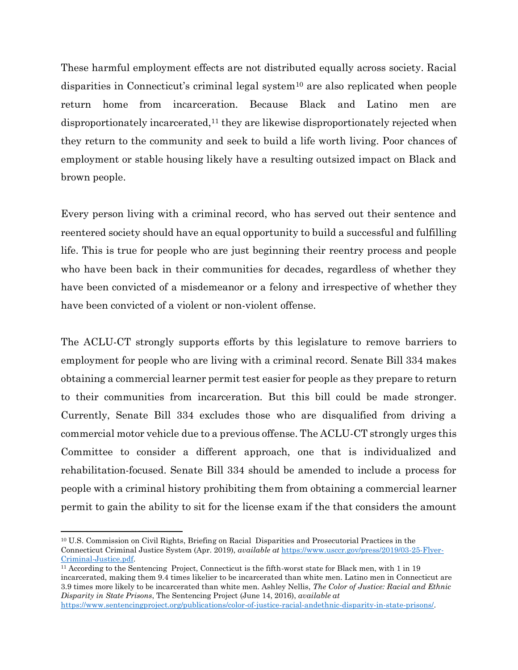These harmful employment effects are not distributed equally across society. Racial disparities in Connecticut's criminal legal system<sup>10</sup> are also replicated when people return home from incarceration. Because Black and Latino men are disproportionately incarcerated,<sup>11</sup> they are likewise disproportionately rejected when they return to the community and seek to build a life worth living. Poor chances of employment or stable housing likely have a resulting outsized impact on Black and brown people.

Every person living with a criminal record, who has served out their sentence and reentered society should have an equal opportunity to build a successful and fulfilling life. This is true for people who are just beginning their reentry process and people who have been back in their communities for decades, regardless of whether they have been convicted of a misdemeanor or a felony and irrespective of whether they have been convicted of a violent or non-violent offense.

The ACLU-CT strongly supports efforts by this legislature to remove barriers to employment for people who are living with a criminal record. Senate Bill 334 makes obtaining a commercial learner permit test easier for people as they prepare to return to their communities from incarceration. But this bill could be made stronger. Currently, Senate Bill 334 excludes those who are disqualified from driving a commercial motor vehicle due to a previous offense. The ACLU-CT strongly urges this Committee to consider a different approach, one that is individualized and rehabilitation-focused. Senate Bill 334 should be amended to include a process for people with a criminal history prohibiting them from obtaining a commercial learner permit to gain the ability to sit for the license exam if the that considers the amount

<sup>10</sup> U.S. Commission on Civil Rights, Briefing on Racial Disparities and Prosecutorial Practices in the Connecticut Criminal Justice System (Apr. 2019), *available at* [https://www.usccr.gov/press/2019/03-25-Flyer-](https://www.usccr.gov/press/2019/03-25-Flyer-Criminal-Justice.pdf)[Criminal-Justice.pdf.](https://www.usccr.gov/press/2019/03-25-Flyer-Criminal-Justice.pdf)

<sup>&</sup>lt;sup>11</sup> According to the Sentencing Project, Connecticut is the fifth-worst state for Black men, with 1 in 19 incarcerated, making them 9.4 times likelier to be incarcerated than white men. Latino men in Connecticut are 3.9 times more likely to be incarcerated than white men. Ashley Nellis, *The Color of Justice: Racial and Ethnic Disparity in State Prisons*, The Sentencing Project (June 14, 2016), *available at* [https://www.sentencingproject.org/publications/color-of-justice-racial-andethnic-disparity-in-state-prisons/.](https://www.sentencingproject.org/publications/color-of-justice-racial-andethnic-disparity-in-state-prisons/)